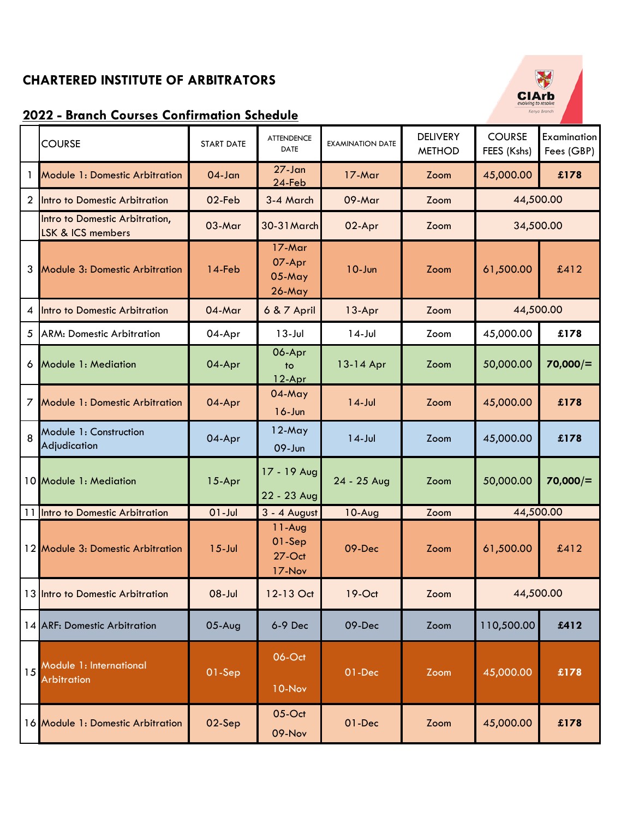## **CHARTERED INSTITUTE OF ARBITRATORS**

## **2022 - Branch Courses Confirmation Schedule**

|    | <b>COURSE</b>                                                  | <b>START DATE</b> | <b>ATTENDENCE</b><br><b>DATE</b>          | <b>EXAMINATION DATE</b> | <b>DELIVERY</b><br><b>METHOD</b> | <b>COURSE</b><br>FEES (Kshs) | <b>Examination</b><br>Fees (GBP) |
|----|----------------------------------------------------------------|-------------------|-------------------------------------------|-------------------------|----------------------------------|------------------------------|----------------------------------|
| 1  | <b>Module 1: Domestic Arbitration</b>                          | $04 - Jan$        | $27 - Jan$<br>24-Feb                      | 17-Mar                  | Zoom                             | 45,000.00                    | £178                             |
| 2  | Intro to Domestic Arbitration                                  | 02-Feb            | 3-4 March                                 | 09-Mar                  | Zoom                             | 44,500.00                    |                                  |
|    | Intro to Domestic Arbitration,<br><b>LSK &amp; ICS members</b> | 03-Mar            | 30-31 March                               | 02-Apr                  | Zoom                             | 34,500.00                    |                                  |
| 3  | <b>Module 3: Domestic Arbitration</b>                          | 14-Feb            | $17-Mar$<br>07-Apr<br>$05$ -May<br>26-May | $10 - Jun$              | Zoom                             | 61,500.00                    | £412                             |
| 4  | Intro to Domestic Arbitration                                  | 04-Mar            | 6 & 7 April                               | 13-Apr                  | Zoom                             | 44,500.00                    |                                  |
| 5  | <b>ARM: Domestic Arbitration</b>                               | 04-Apr            | $13 -$ Jul                                | $14$ -Jul               | Zoom                             | 45,000.00                    | £178                             |
| 6  | Module 1: Mediation                                            | 04-Apr            | 06-Apr<br>to<br>12-Apr                    | 13-14 Apr               | Zoom                             | 50,000.00                    | 70,000/                          |
| 7  | <b>Module 1: Domestic Arbitration</b>                          | 04-Apr            | 04-May<br>$16 - Jun$                      | $14$ -Jul               | Zoom                             | 45,000.00                    | £178                             |
| 8  | Module 1: Construction<br>Adjudication                         | 04-Apr            | $12$ -May<br>09-Jun                       | $14$ -Jul               | Zoom                             | 45,000.00                    | £178                             |
|    | 10 Module 1: Mediation                                         | 15-Apr            | 17 - 19 Aug<br>22 - 23 Aug                | 24 - 25 Aug             | Zoom                             | 50,000.00                    | 70,000/                          |
|    | 11 Intro to Domestic Arbitration                               | $01 -$ Jul        | 3 - 4 August                              | $10-Aug$                | Zoom                             | 44,500.00                    |                                  |
|    | 12 Module 3: Domestic Arbitration                              | $15$ -Jul         | $11-Aug$<br>01-Sep<br>$27$ -Oct<br>17-Nov | 09-Dec                  | Zoom                             | 61,500.00                    | £412                             |
|    | 13 Intro to Domestic Arbitration                               | $ ul-80$          | 12-13 Oct                                 | $19-Oct$                | Zoom                             | 44,500.00                    |                                  |
|    | 14 ARF: Domestic Arbitration                                   | $05$ -Aug         | 6-9 Dec                                   | 09-Dec                  | Zoom                             | 110,500.00                   | £412                             |
| 15 | Module 1: International<br>Arbitration                         | 01-Sep            | 06-Oct<br>10-Nov                          | 01-Dec                  | Zoom                             | 45,000.00                    | £178                             |
|    | 16 Module 1: Domestic Arbitration                              | 02-Sep            | 05-Oct<br>09-Nov                          | 01-Dec                  | Zoom                             | 45,000.00                    | £178                             |